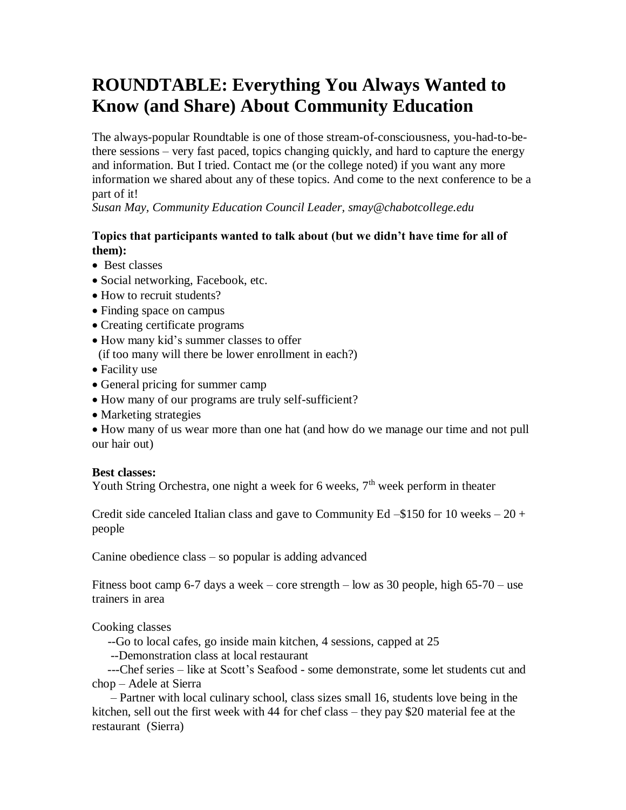## **ROUNDTABLE: Everything You Always Wanted to Know (and Share) About Community Education**

The always-popular Roundtable is one of those stream-of-consciousness, you-had-to-bethere sessions – very fast paced, topics changing quickly, and hard to capture the energy and information. But I tried. Contact me (or the college noted) if you want any more information we shared about any of these topics. And come to the next conference to be a part of it!

*Susan May, Community Education Council Leader, smay@chabotcollege.edu*

## **Topics that participants wanted to talk about (but we didn't have time for all of them):**

- Best classes
- Social networking, Facebook, etc.
- How to recruit students?
- Finding space on campus
- Creating certificate programs
- How many kid's summer classes to offer (if too many will there be lower enrollment in each?)
- Facility use
- General pricing for summer camp
- How many of our programs are truly self-sufficient?
- Marketing strategies

 How many of us wear more than one hat (and how do we manage our time and not pull our hair out)

## **Best classes:**

Youth String Orchestra, one night a week for 6 weeks,  $7<sup>th</sup>$  week perform in theater

Credit side canceled Italian class and gave to Community Ed  $-$ \$150 for 10 weeks  $-$  20 + people

Canine obedience class – so popular is adding advanced

Fitness boot camp 6-7 days a week – core strength – low as 30 people, high 65-70 – use trainers in area

Cooking classes

--Go to local cafes, go inside main kitchen, 4 sessions, capped at 25

--Demonstration class at local restaurant

 ---Chef series – like at Scott's Seafood - some demonstrate, some let students cut and chop – Adele at Sierra

 – Partner with local culinary school, class sizes small 16, students love being in the kitchen, sell out the first week with 44 for chef class – they pay \$20 material fee at the restaurant (Sierra)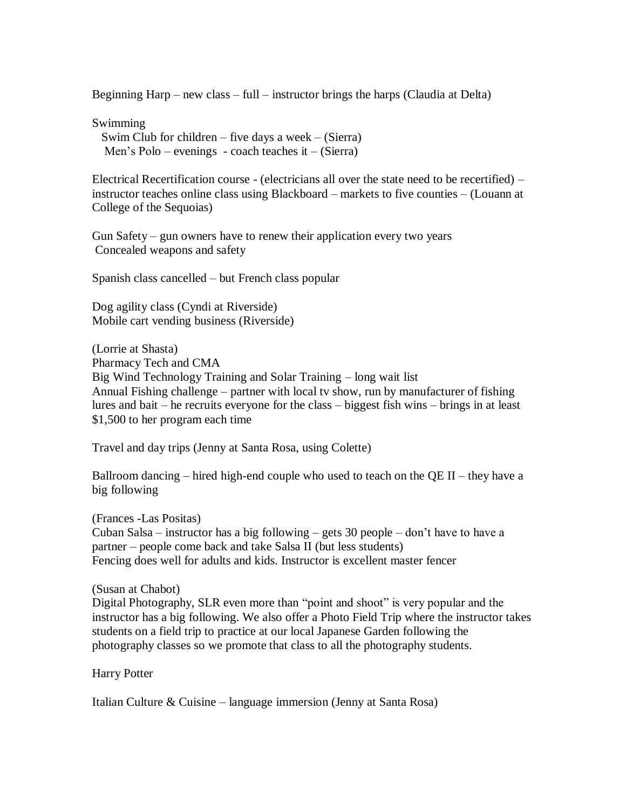Beginning Harp – new class – full – instructor brings the harps (Claudia at Delta)

Swimming Swim Club for children – five days a week –  $(Sierra)$ Men's Polo – evenings - coach teaches it – (Sierra)

Electrical Recertification course - (electricians all over the state need to be recertified) – instructor teaches online class using Blackboard – markets to five counties – (Louann at College of the Sequoias)

Gun Safety – gun owners have to renew their application every two years Concealed weapons and safety

Spanish class cancelled – but French class popular

Dog agility class (Cyndi at Riverside) Mobile cart vending business (Riverside)

(Lorrie at Shasta) Pharmacy Tech and CMA Big Wind Technology Training and Solar Training – long wait list Annual Fishing challenge – partner with local tv show, run by manufacturer of fishing lures and bait – he recruits everyone for the class – biggest fish wins – brings in at least \$1,500 to her program each time

Travel and day trips (Jenny at Santa Rosa, using Colette)

Ballroom dancing – hired high-end couple who used to teach on the QE II – they have a big following

(Frances -Las Positas) Cuban Salsa – instructor has a big following – gets 30 people – don't have to have a partner – people come back and take Salsa II (but less students) Fencing does well for adults and kids. Instructor is excellent master fencer

## (Susan at Chabot)

Digital Photography, SLR even more than "point and shoot" is very popular and the instructor has a big following. We also offer a Photo Field Trip where the instructor takes students on a field trip to practice at our local Japanese Garden following the photography classes so we promote that class to all the photography students.

Harry Potter

Italian Culture & Cuisine – language immersion (Jenny at Santa Rosa)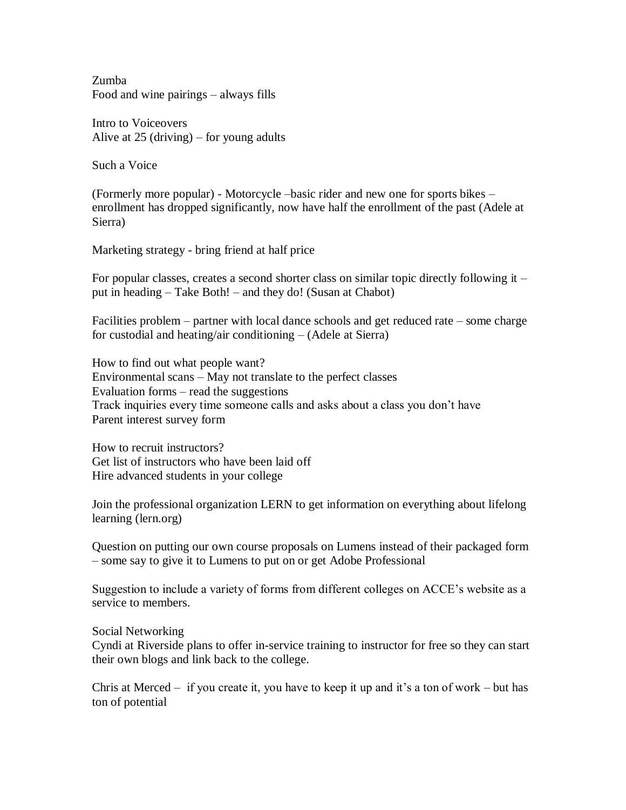Zumba Food and wine pairings – always fills

Intro to Voiceovers Alive at 25 (driving) – for young adults

Such a Voice

(Formerly more popular) - Motorcycle –basic rider and new one for sports bikes – enrollment has dropped significantly, now have half the enrollment of the past (Adele at Sierra)

Marketing strategy - bring friend at half price

For popular classes, creates a second shorter class on similar topic directly following it – put in heading – Take Both! – and they do! (Susan at Chabot)

Facilities problem – partner with local dance schools and get reduced rate – some charge for custodial and heating/air conditioning – (Adele at Sierra)

How to find out what people want? Environmental scans – May not translate to the perfect classes Evaluation forms – read the suggestions Track inquiries every time someone calls and asks about a class you don't have Parent interest survey form

How to recruit instructors? Get list of instructors who have been laid off Hire advanced students in your college

Join the professional organization LERN to get information on everything about lifelong learning (lern.org)

Question on putting our own course proposals on Lumens instead of their packaged form – some say to give it to Lumens to put on or get Adobe Professional

Suggestion to include a variety of forms from different colleges on ACCE's website as a service to members.

Social Networking

Cyndi at Riverside plans to offer in-service training to instructor for free so they can start their own blogs and link back to the college.

Chris at Merced – if you create it, you have to keep it up and it's a ton of work – but has ton of potential